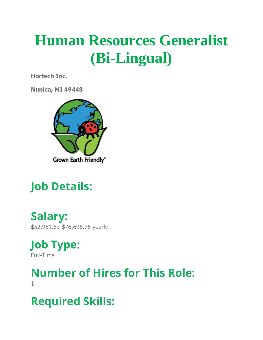# **Human Resources Generalist (Bi-Lingual)**

**Hortech Inc.**

**Nunica, MI 49448**



## **Job Details:**

**Salary:** \$52,961.63-\$76,696.76 yearly

**Job Type:** Full-Time

**Number of Hires for This Role:** 1

**Required Skills:**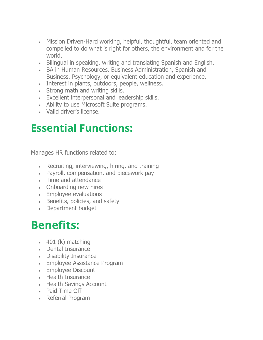- Mission Driven-Hard working, helpful, thoughtful, team oriented and compelled to do what is right for others, the environment and for the world.
- Bilingual in speaking, writing and translating Spanish and English.
- BA in Human Resources, Business Administration, Spanish and Business, Psychology, or equivalent education and experience.
- Interest in plants, outdoors, people, wellness.
- Strong math and writing skills.
- Excellent interpersonal and leadership skills.
- Ability to use Microsoft Suite programs.
- Valid driver's license.

#### **Essential Functions:**

Manages HR functions related to:

- Recruiting, interviewing, hiring, and training
- Payroll, compensation, and piecework pay
- Time and attendance
- Onboarding new hires
- Employee evaluations
- Benefits, policies, and safety
- Department budget

#### **Benefits:**

- $\cdot$  401 (k) matching
- Dental Insurance
- Disability Insurance
- Employee Assistance Program
- Employee Discount
- Health Insurance
- Health Savings Account
- Paid Time Off
- Referral Program